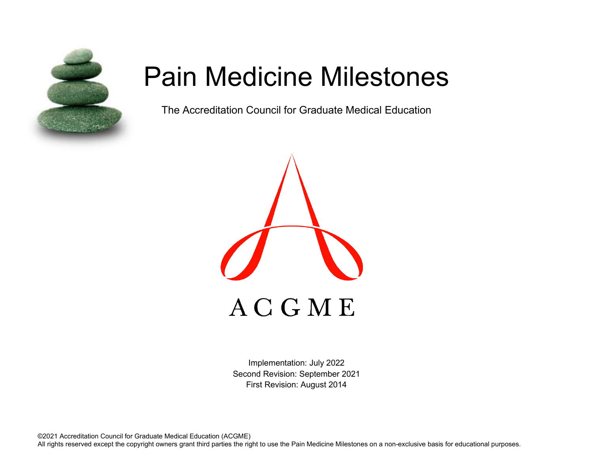

# Pain Medicine Milestones

The Accreditation Council for Graduate Medical Education



Implementation: July 2022 Second Revision: September 2021 First Revision: August 2014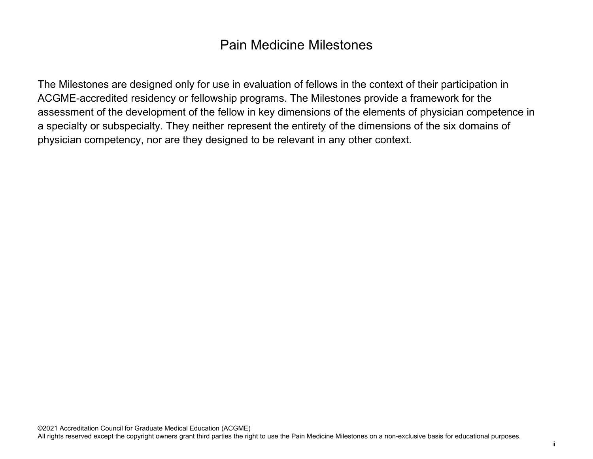## Pain Medicine Milestones

The Milestones are designed only for use in evaluation of fellows in the context of their participation in ACGME-accredited residency or fellowship programs. The Milestones provide a framework for the assessment of the development of the fellow in key dimensions of the elements of physician competence in a specialty or subspecialty. They neither represent the entirety of the dimensions of the six domains of physician competency, nor are they designed to be relevant in any other context.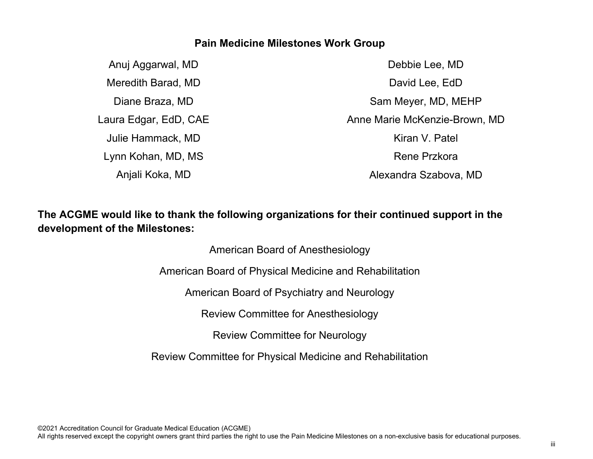#### **Pain Medicine Milestones Work Group**

Anuj Aggarwal, MD Meredith Barad, MD Diane Braza, MD Laura Edgar, EdD, CAE Julie Hammack, MD Lynn Kohan, MD, MS Anjali Koka, MD

Debbie Lee, MD David Lee, EdD Sam Meyer, MD, MEHP Anne Marie McKenzie-Brown, MD Kiran V. Patel Rene Przkora Alexandra Szabova, MD

### **The ACGME would like to thank the following organizations for their continued support in the development of the Milestones:**

American Board of Anesthesiology American Board of Physical Medicine and Rehabilitation

American Board of Psychiatry and Neurology

Review Committee for Anesthesiology

Review Committee for Neurology

Review Committee for Physical Medicine and Rehabilitation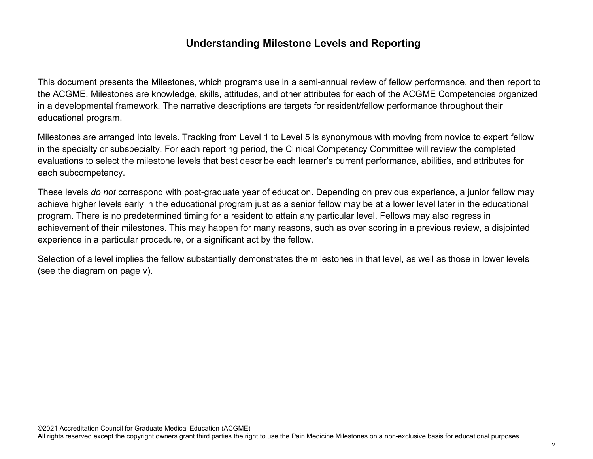#### **Understanding Milestone Levels and Reporting**

This document presents the Milestones, which programs use in a semi-annual review of fellow performance, and then report to the ACGME. Milestones are knowledge, skills, attitudes, and other attributes for each of the ACGME Competencies organized in a developmental framework. The narrative descriptions are targets for resident/fellow performance throughout their educational program.

Milestones are arranged into levels. Tracking from Level 1 to Level 5 is synonymous with moving from novice to expert fellow in the specialty or subspecialty. For each reporting period, the Clinical Competency Committee will review the completed evaluations to select the milestone levels that best describe each learner's current performance, abilities, and attributes for each subcompetency.

These levels *do not* correspond with post-graduate year of education. Depending on previous experience, a junior fellow may achieve higher levels early in the educational program just as a senior fellow may be at a lower level later in the educational program. There is no predetermined timing for a resident to attain any particular level. Fellows may also regress in achievement of their milestones. This may happen for many reasons, such as over scoring in a previous review, a disjointed experience in a particular procedure, or a significant act by the fellow.

Selection of a level implies the fellow substantially demonstrates the milestones in that level, as well as those in lower levels (see the diagram on page v).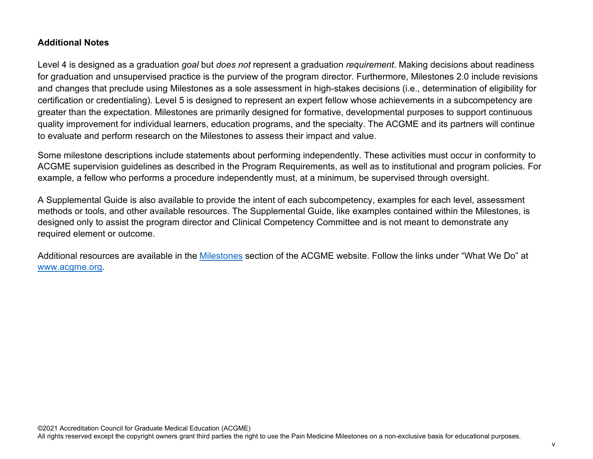#### **Additional Notes**

Level 4 is designed as a graduation *goal* but *does not* represent a graduation *requirement*. Making decisions about readiness for graduation and unsupervised practice is the purview of the program director. Furthermore, Milestones 2.0 include revisions and changes that preclude using Milestones as a sole assessment in high-stakes decisions (i.e., determination of eligibility for certification or credentialing). Level 5 is designed to represent an expert fellow whose achievements in a subcompetency are greater than the expectation. Milestones are primarily designed for formative, developmental purposes to support continuous quality improvement for individual learners, education programs, and the specialty. The ACGME and its partners will continue to evaluate and perform research on the Milestones to assess their impact and value.

Some milestone descriptions include statements about performing independently. These activities must occur in conformity to ACGME supervision guidelines as described in the Program Requirements, as well as to institutional and program policies. For example, a fellow who performs a procedure independently must, at a minimum, be supervised through oversight.

A Supplemental Guide is also available to provide the intent of each subcompetency, examples for each level, assessment methods or tools, and other available resources. The Supplemental Guide, like examples contained within the Milestones, is designed only to assist the program director and Clinical Competency Committee and is not meant to demonstrate any required element or outcome.

Additional resources are available in the [Milestones](http://www.acgme.org/What-We-Do/Accreditation/Milestones/Overview) section of the ACGME website. Follow the links under "What We Do" at [www.acgme.org.](http://www.acgme.org/)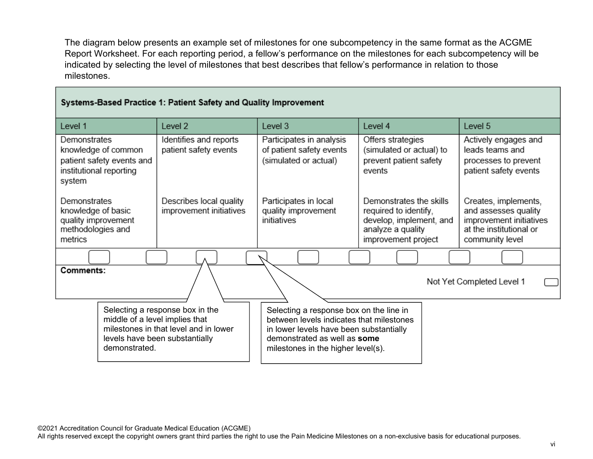The diagram below presents an example set of milestones for one subcompetency in the same format as the ACGME Report Worksheet. For each reporting period, a fellow's performance on the milestones for each subcompetency will be indicated by selecting the level of milestones that best describes that fellow's performance in relation to those milestones.

#### Systems-Based Practice 1: Patient Safety and Quality Improvement

| Level 1                                                                                               | Level 2                                                                                                    | Level 3                                                                                                                                                                                              | Level 4                                                                                                                 | Level 5                                                                                                               |
|-------------------------------------------------------------------------------------------------------|------------------------------------------------------------------------------------------------------------|------------------------------------------------------------------------------------------------------------------------------------------------------------------------------------------------------|-------------------------------------------------------------------------------------------------------------------------|-----------------------------------------------------------------------------------------------------------------------|
| Demonstrates<br>knowledge of common<br>patient safety events and<br>institutional reporting<br>system | Identifies and reports<br>patient safety events                                                            | Participates in analysis<br>of patient safety events<br>(simulated or actual)                                                                                                                        | Offers strategies<br>(simulated or actual) to<br>prevent patient safety<br>events                                       | Actively engages and<br>leads teams and<br>processes to prevent<br>patient safety events                              |
| <b>Demonstrates</b><br>knowledge of basic<br>quality improvement<br>methodologies and<br>metrics      | Describes local quality<br>improvement initiatives                                                         | Participates in local<br>quality improvement<br>initiatives                                                                                                                                          | Demonstrates the skills<br>required to identify,<br>develop, implement, and<br>analyze a quality<br>improvement project | Creates, implements,<br>and assesses quality<br>improvement initiatives<br>at the institutional or<br>community level |
|                                                                                                       |                                                                                                            |                                                                                                                                                                                                      |                                                                                                                         |                                                                                                                       |
| Comments:<br>Not Yet Completed Level 1                                                                |                                                                                                            |                                                                                                                                                                                                      |                                                                                                                         |                                                                                                                       |
| middle of a level implies that<br>demonstrated.                                                       | Selecting a response box in the<br>milestones in that level and in lower<br>levels have been substantially | Selecting a response box on the line in<br>between levels indicates that milestones<br>in lower levels have been substantially<br>demonstrated as well as some<br>milestones in the higher level(s). |                                                                                                                         |                                                                                                                       |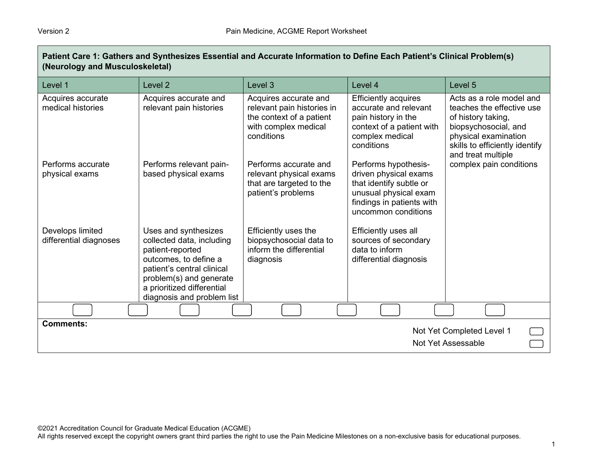| (Neurology and Musculoskeletal)            |                                                                                                                                                                                                                     |                                                                                                                       |                                                                                                                                                       |                                                                                                                                                                                     |
|--------------------------------------------|---------------------------------------------------------------------------------------------------------------------------------------------------------------------------------------------------------------------|-----------------------------------------------------------------------------------------------------------------------|-------------------------------------------------------------------------------------------------------------------------------------------------------|-------------------------------------------------------------------------------------------------------------------------------------------------------------------------------------|
| Level 1                                    | Level <sub>2</sub>                                                                                                                                                                                                  | Level <sub>3</sub>                                                                                                    | Level 4                                                                                                                                               | Level 5                                                                                                                                                                             |
| Acquires accurate<br>medical histories     | Acquires accurate and<br>relevant pain histories                                                                                                                                                                    | Acquires accurate and<br>relevant pain histories in<br>the context of a patient<br>with complex medical<br>conditions | <b>Efficiently acquires</b><br>accurate and relevant<br>pain history in the<br>context of a patient with<br>complex medical<br>conditions             | Acts as a role model and<br>teaches the effective use<br>of history taking,<br>biopsychosocial, and<br>physical examination<br>skills to efficiently identify<br>and treat multiple |
| Performs accurate<br>physical exams        | Performs relevant pain-<br>based physical exams                                                                                                                                                                     | Performs accurate and<br>relevant physical exams<br>that are targeted to the<br>patient's problems                    | Performs hypothesis-<br>driven physical exams<br>that identify subtle or<br>unusual physical exam<br>findings in patients with<br>uncommon conditions | complex pain conditions                                                                                                                                                             |
| Develops limited<br>differential diagnoses | Uses and synthesizes<br>collected data, including<br>patient-reported<br>outcomes, to define a<br>patient's central clinical<br>problem(s) and generate<br>a prioritized differential<br>diagnosis and problem list | Efficiently uses the<br>biopsychosocial data to<br>inform the differential<br>diagnosis                               | Efficiently uses all<br>sources of secondary<br>data to inform<br>differential diagnosis                                                              |                                                                                                                                                                                     |
|                                            |                                                                                                                                                                                                                     |                                                                                                                       |                                                                                                                                                       |                                                                                                                                                                                     |
| <b>Comments:</b>                           |                                                                                                                                                                                                                     |                                                                                                                       |                                                                                                                                                       | Not Yet Completed Level 1<br>Not Yet Assessable                                                                                                                                     |

**Patient Care 1: Gathers and Synthesizes Essential and Accurate Information to Define Each Patient's Clinical Problem(s)**

©2021 Accreditation Council for Graduate Medical Education (ACGME)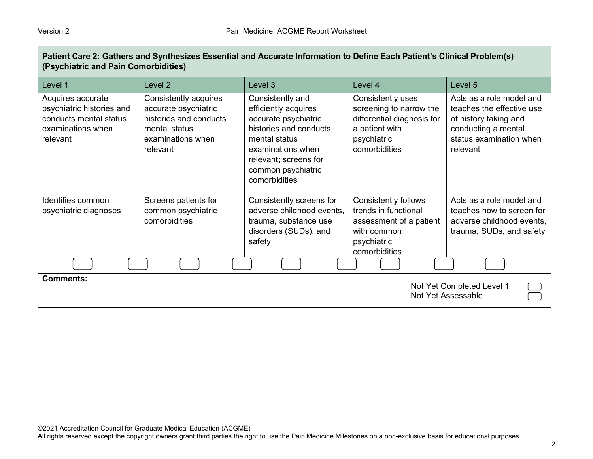| Patient Care 2: Gathers and Synthesizes Essential and Accurate Information to Define Each Patient's Clinical Problem(s)<br>(Psychiatric and Pain Comorbidities) |                                                                                                                           |                                                                                                                                                                                                  |                                                                                                                               |                                                                                                                                              |
|-----------------------------------------------------------------------------------------------------------------------------------------------------------------|---------------------------------------------------------------------------------------------------------------------------|--------------------------------------------------------------------------------------------------------------------------------------------------------------------------------------------------|-------------------------------------------------------------------------------------------------------------------------------|----------------------------------------------------------------------------------------------------------------------------------------------|
| Level 1                                                                                                                                                         | Level 2                                                                                                                   | Level 3                                                                                                                                                                                          | Level 4                                                                                                                       | Level 5                                                                                                                                      |
| Acquires accurate<br>psychiatric histories and<br>conducts mental status<br>examinations when<br>relevant                                                       | Consistently acquires<br>accurate psychiatric<br>histories and conducts<br>mental status<br>examinations when<br>relevant | Consistently and<br>efficiently acquires<br>accurate psychiatric<br>histories and conducts<br>mental status<br>examinations when<br>relevant; screens for<br>common psychiatric<br>comorbidities | Consistently uses<br>screening to narrow the<br>differential diagnosis for<br>a patient with<br>psychiatric<br>comorbidities  | Acts as a role model and<br>teaches the effective use<br>of history taking and<br>conducting a mental<br>status examination when<br>relevant |
| Identifies common<br>psychiatric diagnoses                                                                                                                      | Screens patients for<br>common psychiatric<br>comorbidities                                                               | Consistently screens for<br>adverse childhood events,<br>trauma, substance use<br>disorders (SUDs), and<br>safety                                                                                | <b>Consistently follows</b><br>trends in functional<br>assessment of a patient<br>with common<br>psychiatric<br>comorbidities | Acts as a role model and<br>teaches how to screen for<br>adverse childhood events,<br>trauma, SUDs, and safety                               |
|                                                                                                                                                                 |                                                                                                                           |                                                                                                                                                                                                  |                                                                                                                               |                                                                                                                                              |
| <b>Comments:</b>                                                                                                                                                |                                                                                                                           |                                                                                                                                                                                                  |                                                                                                                               | Not Yet Completed Level 1<br>Not Yet Assessable                                                                                              |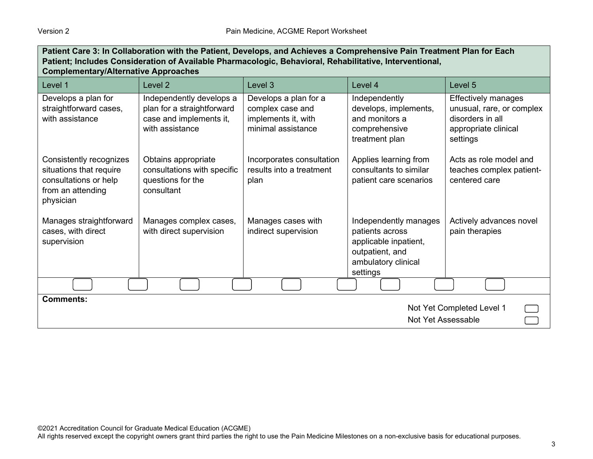| Patient Care 3: In Collaboration with the Patient, Develops, and Achieves a Comprehensive Pain Treatment Plan for Each<br>Patient; Includes Consideration of Available Pharmacologic, Behavioral, Rehabilitative, Interventional,<br><b>Complementary/Alternative Approaches</b> |                                                                                                      |                                                                                        |                                                                                                                         |                                                                                                                 |
|----------------------------------------------------------------------------------------------------------------------------------------------------------------------------------------------------------------------------------------------------------------------------------|------------------------------------------------------------------------------------------------------|----------------------------------------------------------------------------------------|-------------------------------------------------------------------------------------------------------------------------|-----------------------------------------------------------------------------------------------------------------|
| Level 1                                                                                                                                                                                                                                                                          | Level <sub>2</sub>                                                                                   | Level <sub>3</sub>                                                                     | Level 4                                                                                                                 | Level 5                                                                                                         |
| Develops a plan for<br>straightforward cases,<br>with assistance                                                                                                                                                                                                                 | Independently develops a<br>plan for a straightforward<br>case and implements it,<br>with assistance | Develops a plan for a<br>complex case and<br>implements it, with<br>minimal assistance | Independently<br>develops, implements,<br>and monitors a<br>comprehensive<br>treatment plan                             | <b>Effectively manages</b><br>unusual, rare, or complex<br>disorders in all<br>appropriate clinical<br>settings |
| Consistently recognizes<br>situations that require<br>consultations or help<br>from an attending<br>physician                                                                                                                                                                    | Obtains appropriate<br>consultations with specific<br>questions for the<br>consultant                | Incorporates consultation<br>results into a treatment<br>plan                          | Applies learning from<br>consultants to similar<br>patient care scenarios                                               | Acts as role model and<br>teaches complex patient-<br>centered care                                             |
| Manages straightforward<br>cases, with direct<br>supervision                                                                                                                                                                                                                     | Manages complex cases,<br>with direct supervision                                                    | Manages cases with<br>indirect supervision                                             | Independently manages<br>patients across<br>applicable inpatient,<br>outpatient, and<br>ambulatory clinical<br>settings | Actively advances novel<br>pain therapies                                                                       |
|                                                                                                                                                                                                                                                                                  |                                                                                                      |                                                                                        |                                                                                                                         |                                                                                                                 |
| <b>Comments:</b><br>Not Yet Completed Level 1<br>Not Yet Assessable                                                                                                                                                                                                              |                                                                                                      |                                                                                        |                                                                                                                         |                                                                                                                 |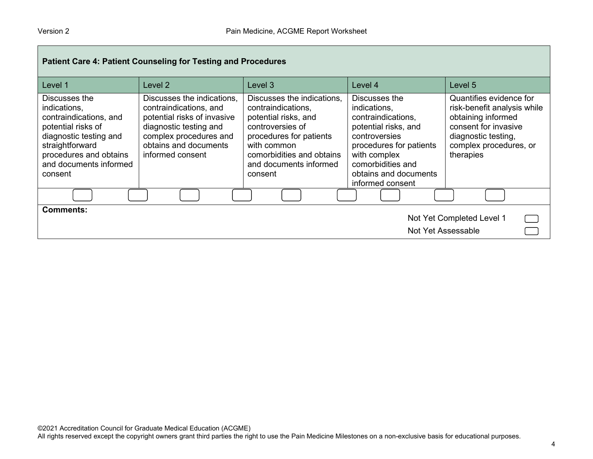| Patient Care 4: Patient Counseling for Testing and Procedures                                                                                                                             |                                                                                                                                                                                      |                                                                                                                                                                                                          |                                                                                                                                                                                                           |                                                                                                                                                                    |
|-------------------------------------------------------------------------------------------------------------------------------------------------------------------------------------------|--------------------------------------------------------------------------------------------------------------------------------------------------------------------------------------|----------------------------------------------------------------------------------------------------------------------------------------------------------------------------------------------------------|-----------------------------------------------------------------------------------------------------------------------------------------------------------------------------------------------------------|--------------------------------------------------------------------------------------------------------------------------------------------------------------------|
| Level 1                                                                                                                                                                                   | Level <sub>2</sub>                                                                                                                                                                   | Level 3                                                                                                                                                                                                  | Level 4                                                                                                                                                                                                   | Level 5                                                                                                                                                            |
| Discusses the<br>indications,<br>contraindications, and<br>potential risks of<br>diagnostic testing and<br>straightforward<br>procedures and obtains<br>and documents informed<br>consent | Discusses the indications.<br>contraindications, and<br>potential risks of invasive<br>diagnostic testing and<br>complex procedures and<br>obtains and documents<br>informed consent | Discusses the indications.<br>contraindications,<br>potential risks, and<br>controversies of<br>procedures for patients<br>with common<br>comorbidities and obtains<br>and documents informed<br>consent | Discusses the<br>indications,<br>contraindications,<br>potential risks, and<br>controversies<br>procedures for patients<br>with complex<br>comorbidities and<br>obtains and documents<br>informed consent | Quantifies evidence for<br>risk-benefit analysis while<br>obtaining informed<br>consent for invasive<br>diagnostic testing,<br>complex procedures, or<br>therapies |
|                                                                                                                                                                                           |                                                                                                                                                                                      |                                                                                                                                                                                                          |                                                                                                                                                                                                           |                                                                                                                                                                    |
| <b>Comments:</b><br>Not Yet Completed Level 1<br>Not Yet Assessable                                                                                                                       |                                                                                                                                                                                      |                                                                                                                                                                                                          |                                                                                                                                                                                                           |                                                                                                                                                                    |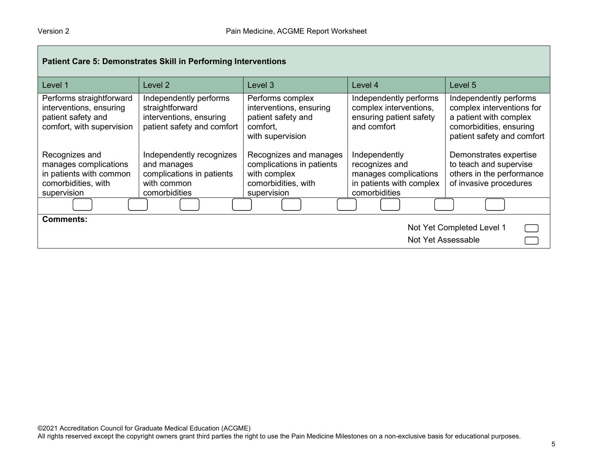| <b>Patient Care 5: Demonstrates Skill in Performing Interventions</b>                                    |                                                                                                      |                                                                                                           |                                                                                                       |                                                                                                                                        |
|----------------------------------------------------------------------------------------------------------|------------------------------------------------------------------------------------------------------|-----------------------------------------------------------------------------------------------------------|-------------------------------------------------------------------------------------------------------|----------------------------------------------------------------------------------------------------------------------------------------|
| Level 1                                                                                                  | Level 2                                                                                              | Level 3                                                                                                   | Level 4                                                                                               | Level 5                                                                                                                                |
| Performs straightforward<br>interventions, ensuring<br>patient safety and<br>comfort, with supervision   | Independently performs<br>straightforward<br>interventions, ensuring<br>patient safety and comfort   | Performs complex<br>interventions, ensuring<br>patient safety and<br>comfort,<br>with supervision         | Independently performs<br>complex interventions,<br>ensuring patient safety<br>and comfort            | Independently performs<br>complex interventions for<br>a patient with complex<br>comorbidities, ensuring<br>patient safety and comfort |
| Recognizes and<br>manages complications<br>in patients with common<br>comorbidities, with<br>supervision | Independently recognizes<br>and manages<br>complications in patients<br>with common<br>comorbidities | Recognizes and manages<br>complications in patients<br>with complex<br>comorbidities, with<br>supervision | Independently<br>recognizes and<br>manages complications<br>in patients with complex<br>comorbidities | Demonstrates expertise<br>to teach and supervise<br>others in the performance<br>of invasive procedures                                |
|                                                                                                          |                                                                                                      |                                                                                                           |                                                                                                       |                                                                                                                                        |
| <b>Comments:</b><br>Not Yet Completed Level 1<br>Not Yet Assessable                                      |                                                                                                      |                                                                                                           |                                                                                                       |                                                                                                                                        |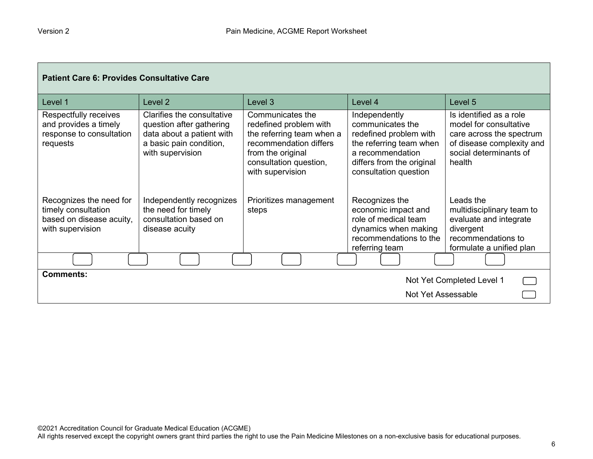| <b>Patient Care 6: Provides Consultative Care</b>                                              |                                                                                                                                    |                                                                                                                                                                      |                                                                                                                                                                  |                                                                                                                                                |  |
|------------------------------------------------------------------------------------------------|------------------------------------------------------------------------------------------------------------------------------------|----------------------------------------------------------------------------------------------------------------------------------------------------------------------|------------------------------------------------------------------------------------------------------------------------------------------------------------------|------------------------------------------------------------------------------------------------------------------------------------------------|--|
| Level 1                                                                                        | Level 2                                                                                                                            | Level 3                                                                                                                                                              | Level 4                                                                                                                                                          | Level 5                                                                                                                                        |  |
| Respectfully receives<br>and provides a timely<br>response to consultation<br>requests         | Clarifies the consultative<br>question after gathering<br>data about a patient with<br>a basic pain condition,<br>with supervision | Communicates the<br>redefined problem with<br>the referring team when a<br>recommendation differs<br>from the original<br>consultation question,<br>with supervision | Independently<br>communicates the<br>redefined problem with<br>the referring team when<br>a recommendation<br>differs from the original<br>consultation question | Is identified as a role<br>model for consultative<br>care across the spectrum<br>of disease complexity and<br>social determinants of<br>health |  |
| Recognizes the need for<br>timely consultation<br>based on disease acuity,<br>with supervision | Independently recognizes<br>the need for timely<br>consultation based on<br>disease acuity                                         | Prioritizes management<br>steps                                                                                                                                      | Recognizes the<br>economic impact and<br>role of medical team<br>dynamics when making<br>recommendations to the<br>referring team                                | Leads the<br>multidisciplinary team to<br>evaluate and integrate<br>divergent<br>recommendations to<br>formulate a unified plan                |  |
|                                                                                                |                                                                                                                                    |                                                                                                                                                                      |                                                                                                                                                                  |                                                                                                                                                |  |
| <b>Comments:</b>                                                                               |                                                                                                                                    |                                                                                                                                                                      |                                                                                                                                                                  | Not Yet Completed Level 1                                                                                                                      |  |
|                                                                                                |                                                                                                                                    |                                                                                                                                                                      | Not Yet Assessable                                                                                                                                               |                                                                                                                                                |  |

┓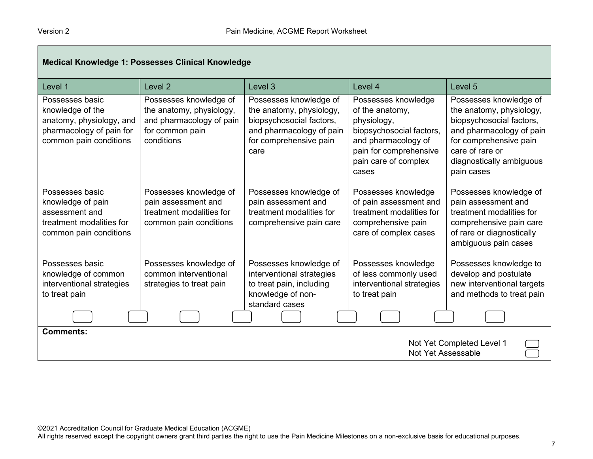| <b>Medical Knowledge 1: Possesses Clinical Knowledge</b>                                                              |                                                                                                                 |                                                                                                                                              |                                                                                                                                                                     |                                                                                                                                                                                                   |
|-----------------------------------------------------------------------------------------------------------------------|-----------------------------------------------------------------------------------------------------------------|----------------------------------------------------------------------------------------------------------------------------------------------|---------------------------------------------------------------------------------------------------------------------------------------------------------------------|---------------------------------------------------------------------------------------------------------------------------------------------------------------------------------------------------|
| Level 1                                                                                                               | Level <sub>2</sub>                                                                                              | Level 3                                                                                                                                      | Level 4                                                                                                                                                             | Level 5                                                                                                                                                                                           |
| Possesses basic<br>knowledge of the<br>anatomy, physiology, and<br>pharmacology of pain for<br>common pain conditions | Possesses knowledge of<br>the anatomy, physiology,<br>and pharmacology of pain<br>for common pain<br>conditions | Possesses knowledge of<br>the anatomy, physiology,<br>biopsychosocial factors,<br>and pharmacology of pain<br>for comprehensive pain<br>care | Possesses knowledge<br>of the anatomy,<br>physiology,<br>biopsychosocial factors,<br>and pharmacology of<br>pain for comprehensive<br>pain care of complex<br>cases | Possesses knowledge of<br>the anatomy, physiology,<br>biopsychosocial factors,<br>and pharmacology of pain<br>for comprehensive pain<br>care of rare or<br>diagnostically ambiguous<br>pain cases |
| Possesses basic<br>knowledge of pain<br>assessment and<br>treatment modalities for<br>common pain conditions          | Possesses knowledge of<br>pain assessment and<br>treatment modalities for<br>common pain conditions             | Possesses knowledge of<br>pain assessment and<br>treatment modalities for<br>comprehensive pain care                                         | Possesses knowledge<br>of pain assessment and<br>treatment modalities for<br>comprehensive pain<br>care of complex cases                                            | Possesses knowledge of<br>pain assessment and<br>treatment modalities for<br>comprehensive pain care<br>of rare or diagnostically<br>ambiguous pain cases                                         |
| Possesses basic<br>knowledge of common<br>interventional strategies<br>to treat pain                                  | Possesses knowledge of<br>common interventional<br>strategies to treat pain                                     | Possesses knowledge of<br>interventional strategies<br>to treat pain, including<br>knowledge of non-<br>standard cases                       | Possesses knowledge<br>of less commonly used<br>interventional strategies<br>to treat pain                                                                          | Possesses knowledge to<br>develop and postulate<br>new interventional targets<br>and methods to treat pain                                                                                        |
|                                                                                                                       |                                                                                                                 |                                                                                                                                              |                                                                                                                                                                     |                                                                                                                                                                                                   |
| <b>Comments:</b><br>Not Yet Completed Level 1<br>Not Yet Assessable                                                   |                                                                                                                 |                                                                                                                                              |                                                                                                                                                                     |                                                                                                                                                                                                   |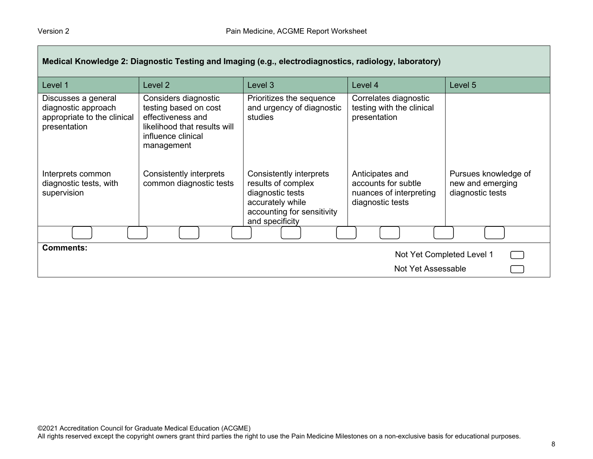| Medical Knowledge 2: Diagnostic Testing and Imaging (e.g., electrodiagnostics, radiology, laboratory) |                                                                                                                                        |                                                                                                                                        |                                                                                       |                                                              |
|-------------------------------------------------------------------------------------------------------|----------------------------------------------------------------------------------------------------------------------------------------|----------------------------------------------------------------------------------------------------------------------------------------|---------------------------------------------------------------------------------------|--------------------------------------------------------------|
| Level 1                                                                                               | Level <sub>2</sub>                                                                                                                     | Level 3                                                                                                                                | Level 4                                                                               | Level 5                                                      |
| Discusses a general<br>diagnostic approach<br>appropriate to the clinical<br>presentation             | Considers diagnostic<br>testing based on cost<br>effectiveness and<br>likelihood that results will<br>influence clinical<br>management | Prioritizes the sequence<br>and urgency of diagnostic<br>studies                                                                       | Correlates diagnostic<br>testing with the clinical<br>presentation                    |                                                              |
| Interprets common<br>diagnostic tests, with<br>supervision                                            | Consistently interprets<br>common diagnostic tests                                                                                     | Consistently interprets<br>results of complex<br>diagnostic tests<br>accurately while<br>accounting for sensitivity<br>and specificity | Anticipates and<br>accounts for subtle<br>nuances of interpreting<br>diagnostic tests | Pursues knowledge of<br>new and emerging<br>diagnostic tests |
|                                                                                                       |                                                                                                                                        |                                                                                                                                        |                                                                                       |                                                              |
| <b>Comments:</b><br>Not Yet Completed Level 1                                                         |                                                                                                                                        |                                                                                                                                        |                                                                                       |                                                              |
|                                                                                                       |                                                                                                                                        |                                                                                                                                        | Not Yet Assessable                                                                    |                                                              |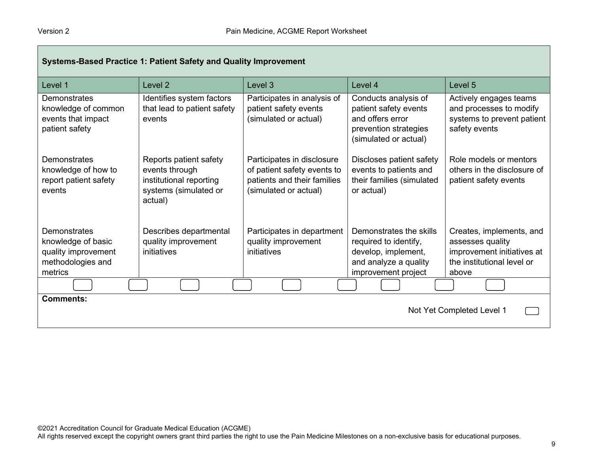| <b>Systems-Based Practice 1: Patient Safety and Quality Improvement</b>                   |                                                                                                         |                                                                                                                   |                                                                                                                         |                                                                                                                   |
|-------------------------------------------------------------------------------------------|---------------------------------------------------------------------------------------------------------|-------------------------------------------------------------------------------------------------------------------|-------------------------------------------------------------------------------------------------------------------------|-------------------------------------------------------------------------------------------------------------------|
| Level 1                                                                                   | Level 2                                                                                                 | Level 3                                                                                                           | Level 4                                                                                                                 | Level 5                                                                                                           |
| <b>Demonstrates</b><br>knowledge of common<br>events that impact<br>patient safety        | Identifies system factors<br>that lead to patient safety<br>events                                      | Participates in analysis of<br>patient safety events<br>(simulated or actual)                                     | Conducts analysis of<br>patient safety events<br>and offers error<br>prevention strategies<br>(simulated or actual)     | Actively engages teams<br>and processes to modify<br>systems to prevent patient<br>safety events                  |
| Demonstrates<br>knowledge of how to<br>report patient safety<br>events                    | Reports patient safety<br>events through<br>institutional reporting<br>systems (simulated or<br>actual) | Participates in disclosure<br>of patient safety events to<br>patients and their families<br>(simulated or actual) | Discloses patient safety<br>events to patients and<br>their families (simulated<br>or actual)                           | Role models or mentors<br>others in the disclosure of<br>patient safety events                                    |
| Demonstrates<br>knowledge of basic<br>quality improvement<br>methodologies and<br>metrics | Describes departmental<br>quality improvement<br>initiatives                                            | Participates in department<br>quality improvement<br>initiatives                                                  | Demonstrates the skills<br>required to identify,<br>develop, implement,<br>and analyze a quality<br>improvement project | Creates, implements, and<br>assesses quality<br>improvement initiatives at<br>the institutional level or<br>above |
|                                                                                           |                                                                                                         |                                                                                                                   |                                                                                                                         |                                                                                                                   |
| <b>Comments:</b><br>Not Yet Completed Level 1                                             |                                                                                                         |                                                                                                                   |                                                                                                                         |                                                                                                                   |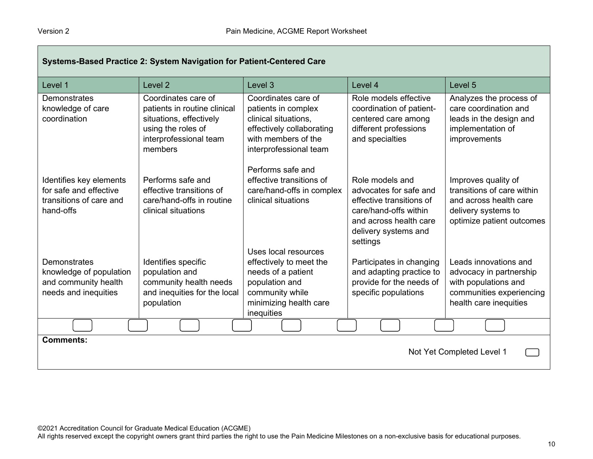| Systems-Based Practice 2: System Navigation for Patient-Centered Care                     |                                                                                                                                           |                                                                                                                                                    |                                                                                                                                                              |                                                                                                                                 |
|-------------------------------------------------------------------------------------------|-------------------------------------------------------------------------------------------------------------------------------------------|----------------------------------------------------------------------------------------------------------------------------------------------------|--------------------------------------------------------------------------------------------------------------------------------------------------------------|---------------------------------------------------------------------------------------------------------------------------------|
| Level 1                                                                                   | Level <sub>2</sub>                                                                                                                        | Level 3                                                                                                                                            | Level 4                                                                                                                                                      | Level 5                                                                                                                         |
| <b>Demonstrates</b><br>knowledge of care<br>coordination                                  | Coordinates care of<br>patients in routine clinical<br>situations, effectively<br>using the roles of<br>interprofessional team<br>members | Coordinates care of<br>patients in complex<br>clinical situations,<br>effectively collaborating<br>with members of the<br>interprofessional team   | Role models effective<br>coordination of patient-<br>centered care among<br>different professions<br>and specialties                                         | Analyzes the process of<br>care coordination and<br>leads in the design and<br>implementation of<br>improvements                |
| Identifies key elements<br>for safe and effective<br>transitions of care and<br>hand-offs | Performs safe and<br>effective transitions of<br>care/hand-offs in routine<br>clinical situations                                         | Performs safe and<br>effective transitions of<br>care/hand-offs in complex<br>clinical situations                                                  | Role models and<br>advocates for safe and<br>effective transitions of<br>care/hand-offs within<br>and across health care<br>delivery systems and<br>settings | Improves quality of<br>transitions of care within<br>and across health care<br>delivery systems to<br>optimize patient outcomes |
| Demonstrates<br>knowledge of population<br>and community health<br>needs and inequities   | Identifies specific<br>population and<br>community health needs<br>and inequities for the local<br>population                             | Uses local resources<br>effectively to meet the<br>needs of a patient<br>population and<br>community while<br>minimizing health care<br>inequities | Participates in changing<br>and adapting practice to<br>provide for the needs of<br>specific populations                                                     | Leads innovations and<br>advocacy in partnership<br>with populations and<br>communities experiencing<br>health care inequities  |
|                                                                                           |                                                                                                                                           |                                                                                                                                                    |                                                                                                                                                              |                                                                                                                                 |
| <b>Comments:</b><br>Not Yet Completed Level 1                                             |                                                                                                                                           |                                                                                                                                                    |                                                                                                                                                              |                                                                                                                                 |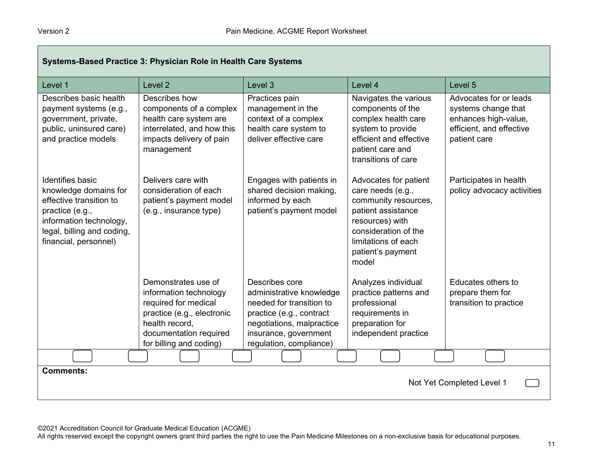| Systems-Based Practice 3: Physician Role in Health Care Systems                                                                                                                  |                                                                                                                                                                            |                                                                                                                                                                                     |                                                                                                                                                                                          |                                                                                                                   |
|----------------------------------------------------------------------------------------------------------------------------------------------------------------------------------|----------------------------------------------------------------------------------------------------------------------------------------------------------------------------|-------------------------------------------------------------------------------------------------------------------------------------------------------------------------------------|------------------------------------------------------------------------------------------------------------------------------------------------------------------------------------------|-------------------------------------------------------------------------------------------------------------------|
| Level 1                                                                                                                                                                          | Level <sub>2</sub>                                                                                                                                                         | Level 3                                                                                                                                                                             | Level 4                                                                                                                                                                                  | Level 5                                                                                                           |
| Describes basic health<br>payment systems (e.g.,<br>government, private,<br>public, uninsured care)<br>and practice models                                                       | Describes how<br>components of a complex<br>health care system are<br>interrelated, and how this<br>impacts delivery of pain<br>management                                 | Practices pain<br>management in the<br>context of a complex<br>health care system to<br>deliver effective care                                                                      | Navigates the various<br>components of the<br>complex health care<br>system to provide<br>efficient and effective<br>patient care and<br>transitions of care                             | Advocates for or leads<br>systems change that<br>enhances high-value,<br>efficient, and effective<br>patient care |
| <b>Identifies basic</b><br>knowledge domains for<br>effective transition to<br>practice (e.g.,<br>information technology,<br>legal, billing and coding,<br>financial, personnel) | Delivers care with<br>consideration of each<br>patient's payment model<br>(e.g., insurance type)                                                                           | Engages with patients in<br>shared decision making,<br>informed by each<br>patient's payment model                                                                                  | Advocates for patient<br>care needs (e.g.,<br>community resources,<br>patient assistance<br>resources) with<br>consideration of the<br>limitations of each<br>patient's payment<br>model | Participates in health<br>policy advocacy activities                                                              |
|                                                                                                                                                                                  | Demonstrates use of<br>information technology<br>required for medical<br>practice (e.g., electronic<br>health record,<br>documentation required<br>for billing and coding) | Describes core<br>administrative knowledge<br>needed for transition to<br>practice (e.g., contract<br>negotiations, malpractice<br>insurance, government<br>regulation, compliance) | Analyzes individual<br>practice patterns and<br>professional<br>requirements in<br>preparation for<br>independent practice                                                               | Educates others to<br>prepare them for<br>transition to practice                                                  |
|                                                                                                                                                                                  |                                                                                                                                                                            |                                                                                                                                                                                     |                                                                                                                                                                                          |                                                                                                                   |
| <b>Comments:</b><br>Not Yet Completed Level 1                                                                                                                                    |                                                                                                                                                                            |                                                                                                                                                                                     |                                                                                                                                                                                          |                                                                                                                   |

©2021 Accreditation Council for Graduate Medical Education (ACGME)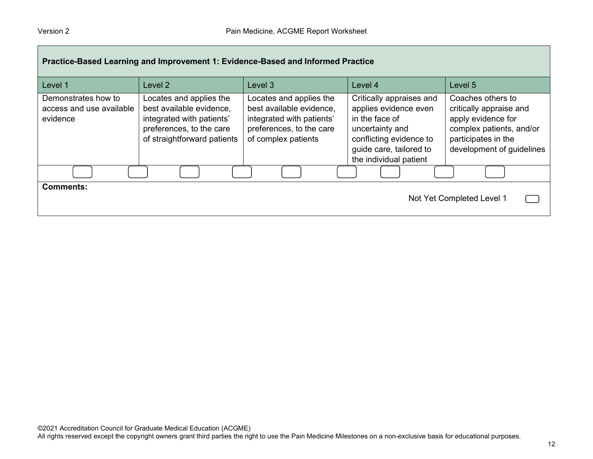| Practice-Based Learning and Improvement 1: Evidence-Based and Informed Practice |                                                                                                                                             |                                                                                                                                     |                                                                                                                                                                        |                                                                                                                                                    |  |  |
|---------------------------------------------------------------------------------|---------------------------------------------------------------------------------------------------------------------------------------------|-------------------------------------------------------------------------------------------------------------------------------------|------------------------------------------------------------------------------------------------------------------------------------------------------------------------|----------------------------------------------------------------------------------------------------------------------------------------------------|--|--|
| Level 1                                                                         | Level 2                                                                                                                                     | Level <sub>3</sub>                                                                                                                  | Level 4                                                                                                                                                                | Level 5                                                                                                                                            |  |  |
| Demonstrates how to<br>access and use available<br>evidence                     | Locates and applies the<br>best available evidence,<br>integrated with patients'<br>preferences, to the care<br>of straightforward patients | Locates and applies the<br>best available evidence,<br>integrated with patients'<br>preferences, to the care<br>of complex patients | Critically appraises and<br>applies evidence even<br>in the face of<br>uncertainty and<br>conflicting evidence to<br>guide care, tailored to<br>the individual patient | Coaches others to<br>critically appraise and<br>apply evidence for<br>complex patients, and/or<br>participates in the<br>development of guidelines |  |  |
|                                                                                 |                                                                                                                                             |                                                                                                                                     |                                                                                                                                                                        |                                                                                                                                                    |  |  |
| <b>Comments:</b><br>Not Yet Completed Level 1                                   |                                                                                                                                             |                                                                                                                                     |                                                                                                                                                                        |                                                                                                                                                    |  |  |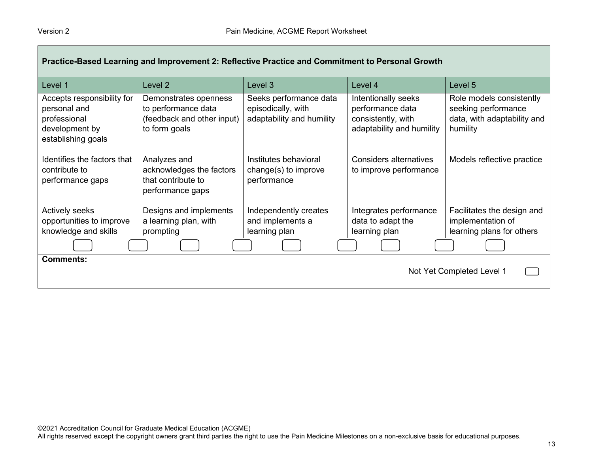| Practice-Based Learning and Improvement 2: Reflective Practice and Commitment to Personal Growth   |                                                                                             |                                                                           |                                                                                            |                                                                                            |  |
|----------------------------------------------------------------------------------------------------|---------------------------------------------------------------------------------------------|---------------------------------------------------------------------------|--------------------------------------------------------------------------------------------|--------------------------------------------------------------------------------------------|--|
| Level 1                                                                                            | Level 2                                                                                     | Level 3                                                                   | Level 4                                                                                    | Level 5                                                                                    |  |
| Accepts responsibility for<br>personal and<br>professional<br>development by<br>establishing goals | Demonstrates openness<br>to performance data<br>(feedback and other input)<br>to form goals | Seeks performance data<br>episodically, with<br>adaptability and humility | Intentionally seeks<br>performance data<br>consistently, with<br>adaptability and humility | Role models consistently<br>seeking performance<br>data, with adaptability and<br>humility |  |
| Identifies the factors that<br>contribute to<br>performance gaps                                   | Analyzes and<br>acknowledges the factors<br>that contribute to<br>performance gaps          | Institutes behavioral<br>change(s) to improve<br>performance              | <b>Considers alternatives</b><br>to improve performance                                    | Models reflective practice                                                                 |  |
| Actively seeks<br>opportunities to improve                                                         | Designs and implements<br>a learning plan, with                                             | Independently creates<br>and implements a                                 | Integrates performance<br>data to adapt the                                                | Facilitates the design and<br>implementation of                                            |  |
| knowledge and skills                                                                               | prompting                                                                                   | learning plan                                                             | learning plan                                                                              | learning plans for others                                                                  |  |
|                                                                                                    |                                                                                             |                                                                           |                                                                                            |                                                                                            |  |
| <b>Comments:</b><br>Not Yet Completed Level 1                                                      |                                                                                             |                                                                           |                                                                                            |                                                                                            |  |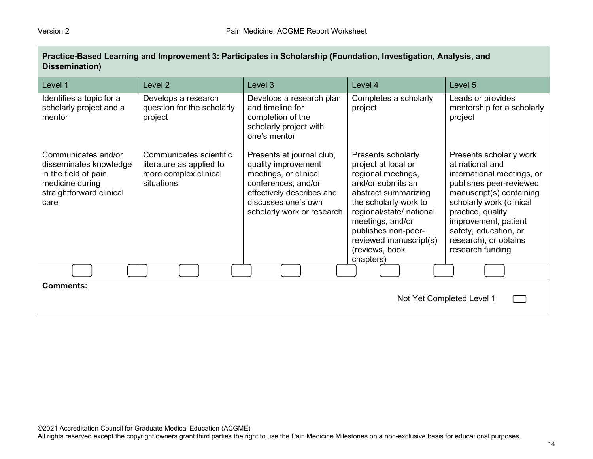| Dissemination)                                                                                                               |                                                                                            |                                                                                                                                                                                    |                                                                                                                                                                                                                                                                       |                                                                                                                                                                                                                                                                                |  |
|------------------------------------------------------------------------------------------------------------------------------|--------------------------------------------------------------------------------------------|------------------------------------------------------------------------------------------------------------------------------------------------------------------------------------|-----------------------------------------------------------------------------------------------------------------------------------------------------------------------------------------------------------------------------------------------------------------------|--------------------------------------------------------------------------------------------------------------------------------------------------------------------------------------------------------------------------------------------------------------------------------|--|
| Level 1                                                                                                                      | Level <sub>2</sub>                                                                         | Level 3                                                                                                                                                                            | Level 4                                                                                                                                                                                                                                                               | Level 5                                                                                                                                                                                                                                                                        |  |
| Identifies a topic for a<br>scholarly project and a<br>mentor                                                                | Develops a research<br>question for the scholarly<br>project                               | Develops a research plan<br>and timeline for<br>completion of the<br>scholarly project with<br>one's mentor                                                                        | Completes a scholarly<br>project                                                                                                                                                                                                                                      | Leads or provides<br>mentorship for a scholarly<br>project                                                                                                                                                                                                                     |  |
| Communicates and/or<br>disseminates knowledge<br>in the field of pain<br>medicine during<br>straightforward clinical<br>care | Communicates scientific<br>literature as applied to<br>more complex clinical<br>situations | Presents at journal club,<br>quality improvement<br>meetings, or clinical<br>conferences, and/or<br>effectively describes and<br>discusses one's own<br>scholarly work or research | Presents scholarly<br>project at local or<br>regional meetings,<br>and/or submits an<br>abstract summarizing<br>the scholarly work to<br>regional/state/ national<br>meetings, and/or<br>publishes non-peer-<br>reviewed manuscript(s)<br>(reviews, book<br>chapters) | Presents scholarly work<br>at national and<br>international meetings, or<br>publishes peer-reviewed<br>manuscript(s) containing<br>scholarly work (clinical<br>practice, quality<br>improvement, patient<br>safety, education, or<br>research), or obtains<br>research funding |  |
|                                                                                                                              |                                                                                            |                                                                                                                                                                                    |                                                                                                                                                                                                                                                                       |                                                                                                                                                                                                                                                                                |  |
| <b>Comments:</b><br>Not Yet Completed Level 1                                                                                |                                                                                            |                                                                                                                                                                                    |                                                                                                                                                                                                                                                                       |                                                                                                                                                                                                                                                                                |  |

**Practice-Based Learning and Improvement 3: Participates in Scholarship (Foundation, Investigation, Analysis, and**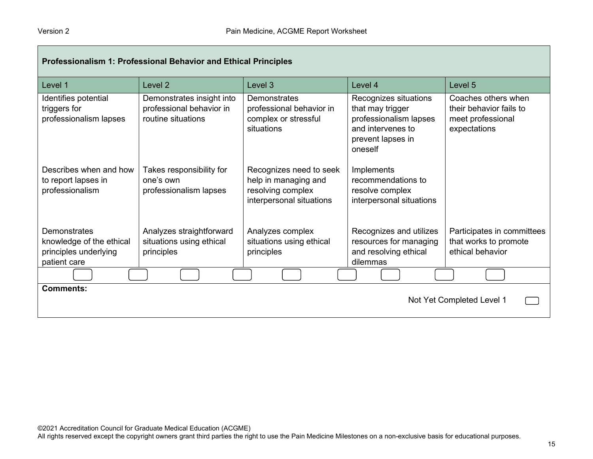| Professionalism 1: Professional Behavior and Ethical Principles                   |                                                                             |                                                                                                  |                                                                                                                          |                                                                                     |  |
|-----------------------------------------------------------------------------------|-----------------------------------------------------------------------------|--------------------------------------------------------------------------------------------------|--------------------------------------------------------------------------------------------------------------------------|-------------------------------------------------------------------------------------|--|
| Level 1                                                                           | Level <sub>2</sub>                                                          | Level 3                                                                                          | Level 4                                                                                                                  | Level 5                                                                             |  |
| Identifies potential<br>triggers for<br>professionalism lapses                    | Demonstrates insight into<br>professional behavior in<br>routine situations | Demonstrates<br>professional behavior in<br>complex or stressful<br>situations                   | Recognizes situations<br>that may trigger<br>professionalism lapses<br>and intervenes to<br>prevent lapses in<br>oneself | Coaches others when<br>their behavior fails to<br>meet professional<br>expectations |  |
| Describes when and how<br>to report lapses in<br>professionalism                  | Takes responsibility for<br>one's own<br>professionalism lapses             | Recognizes need to seek<br>help in managing and<br>resolving complex<br>interpersonal situations | Implements<br>recommendations to<br>resolve complex<br>interpersonal situations                                          |                                                                                     |  |
| Demonstrates<br>knowledge of the ethical<br>principles underlying<br>patient care | Analyzes straightforward<br>situations using ethical<br>principles          | Analyzes complex<br>situations using ethical<br>principles                                       | Recognizes and utilizes<br>resources for managing<br>and resolving ethical<br>dilemmas                                   | Participates in committees<br>that works to promote<br>ethical behavior             |  |
|                                                                                   |                                                                             |                                                                                                  |                                                                                                                          |                                                                                     |  |
| <b>Comments:</b><br>Not Yet Completed Level 1                                     |                                                                             |                                                                                                  |                                                                                                                          |                                                                                     |  |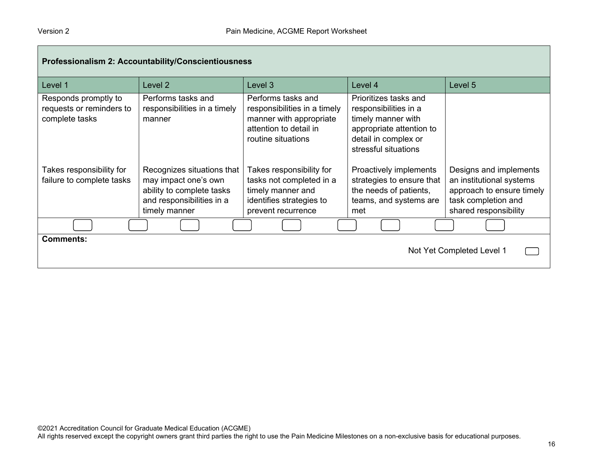|                                                                    | Professionalism 2: Accountability/Conscientiousness                                                                           |                                                                                                                               |                                                                                                                                                  |                                                                                                                                 |
|--------------------------------------------------------------------|-------------------------------------------------------------------------------------------------------------------------------|-------------------------------------------------------------------------------------------------------------------------------|--------------------------------------------------------------------------------------------------------------------------------------------------|---------------------------------------------------------------------------------------------------------------------------------|
| Level 1                                                            | Level 2                                                                                                                       | Level 3                                                                                                                       | Level 4                                                                                                                                          | Level 5                                                                                                                         |
| Responds promptly to<br>requests or reminders to<br>complete tasks | Performs tasks and<br>responsibilities in a timely<br>manner                                                                  | Performs tasks and<br>responsibilities in a timely<br>manner with appropriate<br>attention to detail in<br>routine situations | Prioritizes tasks and<br>responsibilities in a<br>timely manner with<br>appropriate attention to<br>detail in complex or<br>stressful situations |                                                                                                                                 |
| Takes responsibility for<br>failure to complete tasks              | Recognizes situations that<br>may impact one's own<br>ability to complete tasks<br>and responsibilities in a<br>timely manner | Takes responsibility for<br>tasks not completed in a<br>timely manner and<br>identifies strategies to<br>prevent recurrence   | Proactively implements<br>strategies to ensure that<br>the needs of patients,<br>teams, and systems are<br>met                                   | Designs and implements<br>an institutional systems<br>approach to ensure timely<br>task completion and<br>shared responsibility |
|                                                                    |                                                                                                                               |                                                                                                                               |                                                                                                                                                  |                                                                                                                                 |
| <b>Comments:</b>                                                   |                                                                                                                               |                                                                                                                               |                                                                                                                                                  | Not Yet Completed Level 1                                                                                                       |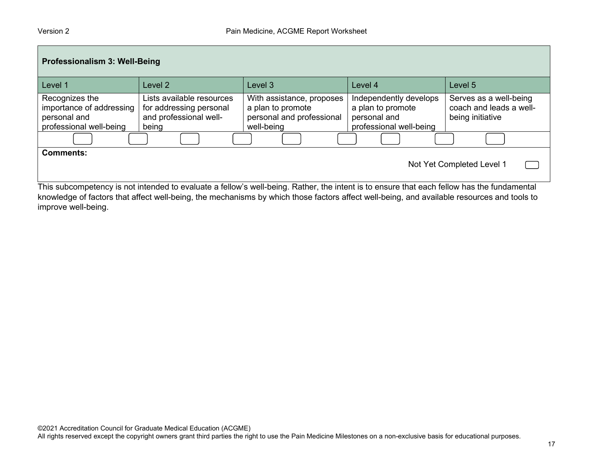| Professionalism 3: Well-Being                                                                                                                                                               |                                                                                         |                                                                                           |                                                                                        |                                                                       |  |  |
|---------------------------------------------------------------------------------------------------------------------------------------------------------------------------------------------|-----------------------------------------------------------------------------------------|-------------------------------------------------------------------------------------------|----------------------------------------------------------------------------------------|-----------------------------------------------------------------------|--|--|
| Level 1                                                                                                                                                                                     | Level 2                                                                                 | Level 3                                                                                   | Level 4                                                                                | Level 5                                                               |  |  |
| Recognizes the<br>importance of addressing<br>personal and<br>professional well-being                                                                                                       | Lists available resources<br>for addressing personal<br>and professional well-<br>being | With assistance, proposes<br>a plan to promote<br>personal and professional<br>well-being | Independently develops<br>a plan to promote<br>personal and<br>professional well-being | Serves as a well-being<br>coach and leads a well-<br>being initiative |  |  |
|                                                                                                                                                                                             |                                                                                         |                                                                                           |                                                                                        |                                                                       |  |  |
| <b>Comments:</b><br>Not Yet Completed Level 1<br>This subcompetency is not intended to evaluate a fellow's well-being. Rather, the intent is to ensure that each fellow has the fundamental |                                                                                         |                                                                                           |                                                                                        |                                                                       |  |  |

This subcompetency is not intended to evaluate a fellow's well-being. Rather, the intent is to ensure that each fellow has the fundamental knowledge of factors that affect well-being, the mechanisms by which those factors affect well-being, and available resources and tools to improve well-being.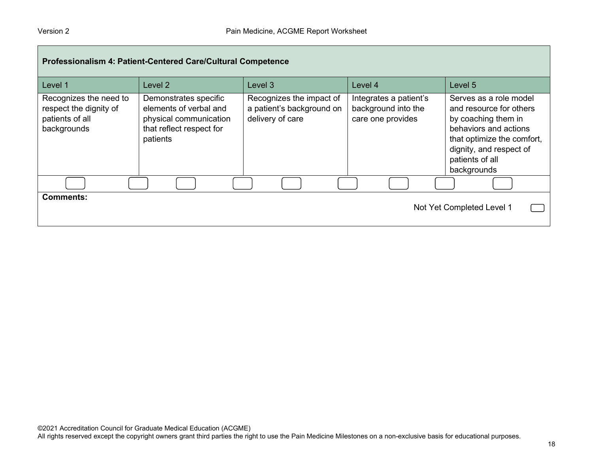| Professionalism 4: Patient-Centered Care/Cultural Competence                       |                                                                                                                   |                                                                           |                                                                    |                                                                                                                                                                                              |  |  |
|------------------------------------------------------------------------------------|-------------------------------------------------------------------------------------------------------------------|---------------------------------------------------------------------------|--------------------------------------------------------------------|----------------------------------------------------------------------------------------------------------------------------------------------------------------------------------------------|--|--|
| Level 1                                                                            | Level 2                                                                                                           | Level 3                                                                   | Level 4                                                            | Level 5                                                                                                                                                                                      |  |  |
| Recognizes the need to<br>respect the dignity of<br>patients of all<br>backgrounds | Demonstrates specific<br>elements of verbal and<br>physical communication<br>that reflect respect for<br>patients | Recognizes the impact of<br>a patient's background on<br>delivery of care | Integrates a patient's<br>background into the<br>care one provides | Serves as a role model<br>and resource for others<br>by coaching them in<br>behaviors and actions<br>that optimize the comfort,<br>dignity, and respect of<br>patients of all<br>backgrounds |  |  |
|                                                                                    |                                                                                                                   |                                                                           |                                                                    |                                                                                                                                                                                              |  |  |
| <b>Comments:</b>                                                                   |                                                                                                                   |                                                                           |                                                                    | Not Yet Completed Level 1                                                                                                                                                                    |  |  |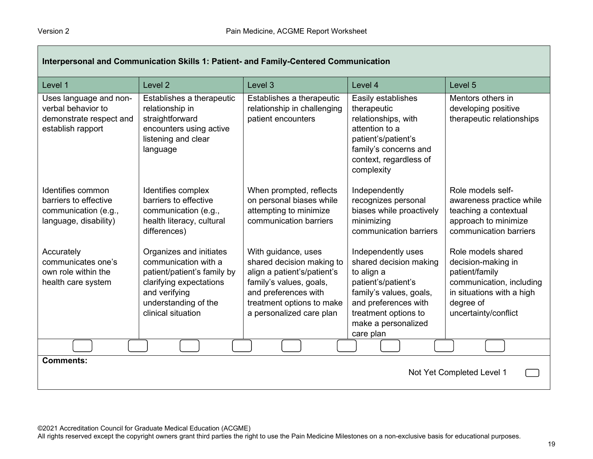| Interpersonal and Communication Skills 1: Patient- and Family-Centered Communication         |                                                                                                                                                                          |                                                                                                                                                                                             |                                                                                                                                                                                                  |                                                                                                                                                          |  |
|----------------------------------------------------------------------------------------------|--------------------------------------------------------------------------------------------------------------------------------------------------------------------------|---------------------------------------------------------------------------------------------------------------------------------------------------------------------------------------------|--------------------------------------------------------------------------------------------------------------------------------------------------------------------------------------------------|----------------------------------------------------------------------------------------------------------------------------------------------------------|--|
| Level 1                                                                                      | Level <sub>2</sub>                                                                                                                                                       | Level 3                                                                                                                                                                                     | Level 4                                                                                                                                                                                          | Level 5                                                                                                                                                  |  |
| Uses language and non-<br>verbal behavior to<br>demonstrate respect and<br>establish rapport | Establishes a therapeutic<br>relationship in<br>straightforward<br>encounters using active<br>listening and clear<br>language                                            | Establishes a therapeutic<br>relationship in challenging<br>patient encounters                                                                                                              | Easily establishes<br>therapeutic<br>relationships, with<br>attention to a<br>patient's/patient's<br>family's concerns and<br>context, regardless of<br>complexity                               | Mentors others in<br>developing positive<br>therapeutic relationships                                                                                    |  |
| Identifies common<br>barriers to effective<br>communication (e.g.,<br>language, disability)  | Identifies complex<br>barriers to effective<br>communication (e.g.,<br>health literacy, cultural<br>differences)                                                         | When prompted, reflects<br>on personal biases while<br>attempting to minimize<br>communication barriers                                                                                     | Independently<br>recognizes personal<br>biases while proactively<br>minimizing<br>communication barriers                                                                                         | Role models self-<br>awareness practice while<br>teaching a contextual<br>approach to minimize<br>communication barriers                                 |  |
| Accurately<br>communicates one's<br>own role within the<br>health care system                | Organizes and initiates<br>communication with a<br>patient/patient's family by<br>clarifying expectations<br>and verifying<br>understanding of the<br>clinical situation | With guidance, uses<br>shared decision making to<br>align a patient's/patient's<br>family's values, goals,<br>and preferences with<br>treatment options to make<br>a personalized care plan | Independently uses<br>shared decision making<br>to align a<br>patient's/patient's<br>family's values, goals,<br>and preferences with<br>treatment options to<br>make a personalized<br>care plan | Role models shared<br>decision-making in<br>patient/family<br>communication, including<br>in situations with a high<br>degree of<br>uncertainty/conflict |  |
|                                                                                              |                                                                                                                                                                          |                                                                                                                                                                                             |                                                                                                                                                                                                  |                                                                                                                                                          |  |
| <b>Comments:</b><br>Not Yet Completed Level 1                                                |                                                                                                                                                                          |                                                                                                                                                                                             |                                                                                                                                                                                                  |                                                                                                                                                          |  |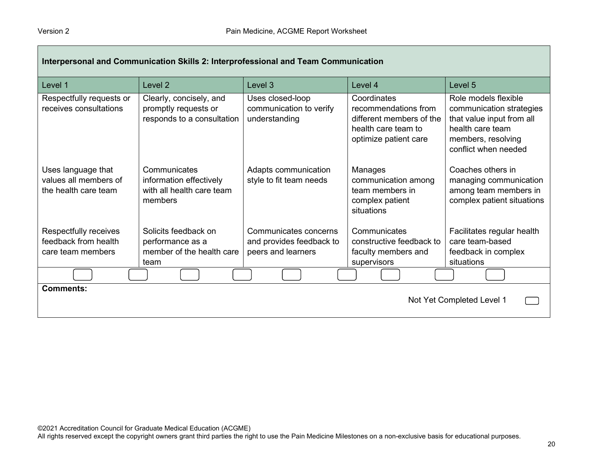| Interpersonal and Communication Skills 2: Interprofessional and Team Communication |                                                                                 |                                                              |                                                                                                                 |                                                                                                                                                 |  |
|------------------------------------------------------------------------------------|---------------------------------------------------------------------------------|--------------------------------------------------------------|-----------------------------------------------------------------------------------------------------------------|-------------------------------------------------------------------------------------------------------------------------------------------------|--|
| Level 1                                                                            | Level 2                                                                         | Level 3                                                      | Level 4                                                                                                         | Level 5                                                                                                                                         |  |
| Respectfully requests or<br>receives consultations                                 | Clearly, concisely, and<br>promptly requests or<br>responds to a consultation   | Uses closed-loop<br>communication to verify<br>understanding | Coordinates<br>recommendations from<br>different members of the<br>health care team to<br>optimize patient care | Role models flexible<br>communication strategies<br>that value input from all<br>health care team<br>members, resolving<br>conflict when needed |  |
| Uses language that<br>values all members of<br>the health care team                | Communicates<br>information effectively<br>with all health care team<br>members | Adapts communication<br>style to fit team needs              | Manages<br>communication among<br>team members in<br>complex patient<br>situations                              | Coaches others in<br>managing communication<br>among team members in<br>complex patient situations                                              |  |
| Respectfully receives                                                              | Solicits feedback on                                                            | Communicates concerns                                        | Communicates                                                                                                    | Facilitates regular health                                                                                                                      |  |
| feedback from health<br>care team members                                          | performance as a<br>member of the health care<br>team                           | and provides feedback to<br>peers and learners               | constructive feedback to<br>faculty members and<br>supervisors                                                  | care team-based<br>feedback in complex<br>situations                                                                                            |  |
|                                                                                    |                                                                                 |                                                              |                                                                                                                 |                                                                                                                                                 |  |
| <b>Comments:</b>                                                                   |                                                                                 |                                                              |                                                                                                                 | Not Yet Completed Level 1                                                                                                                       |  |